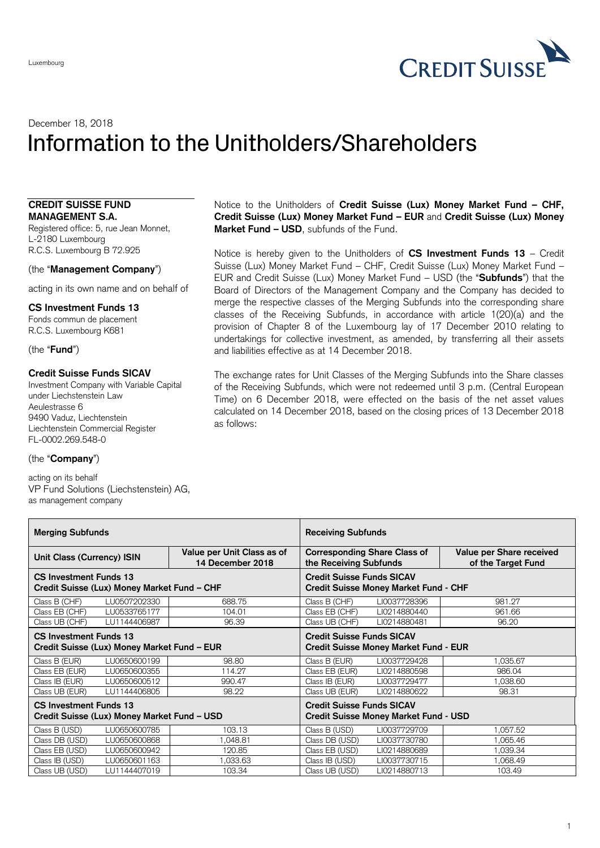

# December 18, 2018 Information to the Unitholders/Shareholders

### **CREDIT SUISSE FUND MANAGEMENT S.A.**

Registered office: 5, rue Jean Monnet, L-2180 Luxembourg R.C.S. Luxembourg B 72.925

## (the "**Management Company**")

acting in its own name and on behalf of

**CS Investment Funds 13** Fonds commun de placement

R.C.S. Luxembourg K681

(the "**Fund**")

## **Credit Suisse Funds SICAV**

Investment Company with Variable Capital under Liechstenstein Law Aeulestrasse 6 9490 Vaduz, Liechtenstein Liechtenstein Commercial Register FL-0002.269.548-0

#### (the "**Company**")

acting on its behalf VP Fund Solutions (Liechstenstein) AG, as management company

Notice to the Unitholders of **Credit Suisse (Lux) Money Market Fund – CHF, Credit Suisse (Lux) Money Market Fund – EUR** and **Credit Suisse (Lux) Money Market Fund – USD**, subfunds of the Fund.

Notice is hereby given to the Unitholders of **CS Investment Funds 13** – Credit Suisse (Lux) Money Market Fund – CHF, Credit Suisse (Lux) Money Market Fund – EUR and Credit Suisse (Lux) Money Market Fund – USD (the "**Subfunds**") that the Board of Directors of the Management Company and the Company has decided to merge the respective classes of the Merging Subfunds into the corresponding share classes of the Receiving Subfunds, in accordance with article 1(20)(a) and the provision of Chapter 8 of the Luxembourg lay of 17 December 2010 relating to undertakings for collective investment, as amended, by transferring all their assets and liabilities effective as at 14 December 2018.

The exchange rates for Unit Classes of the Merging Subfunds into the Share classes of the Receiving Subfunds, which were not redeemed until 3 p.m. (Central European Time) on 6 December 2018, were effected on the basis of the net asset values calculated on 14 December 2018, based on the closing prices of 13 December 2018 as follows:

| <b>Merging Subfunds</b>                                                      |              |                                                | <b>Receiving Subfunds</b>                                                        |                                                |
|------------------------------------------------------------------------------|--------------|------------------------------------------------|----------------------------------------------------------------------------------|------------------------------------------------|
| Unit Class (Currency) ISIN                                                   |              | Value per Unit Class as of<br>14 December 2018 | <b>Corresponding Share Class of</b><br>the Receiving Subfunds                    | Value per Share received<br>of the Target Fund |
| <b>CS Investment Funds 13</b><br>Credit Suisse (Lux) Money Market Fund – CHF |              |                                                | <b>Credit Suisse Funds SICAV</b><br><b>Credit Suisse Money Market Fund - CHF</b> |                                                |
| Class B (CHF)                                                                | LU0507202330 | 688.75                                         | Class B (CHF)<br>LI0037728396                                                    | 981.27                                         |
| Class EB (CHF)                                                               | LU0533765177 | 104.01                                         | Class EB (CHF)<br>LI0214880440                                                   | 961.66                                         |
| Class UB (CHF)                                                               | LU1144406987 | 96.39                                          | Class UB (CHF)<br>LI0214880481                                                   | 96.20                                          |
| <b>CS Investment Funds 13</b>                                                |              |                                                | <b>Credit Suisse Funds SICAV</b>                                                 |                                                |
| Credit Suisse (Lux) Money Market Fund - EUR                                  |              |                                                | <b>Credit Suisse Money Market Fund - EUR</b>                                     |                                                |
| Class B (EUR)                                                                | LU0650600199 | 98.80                                          | Class B (EUR)<br>LI0037729428                                                    | 1,035.67                                       |
| Class EB (EUR)                                                               | LU0650600355 | 114.27                                         | Class EB (EUR)<br>LI0214880598                                                   | 986.04                                         |
| Class IB (EUR)                                                               | LU0650600512 | 990.47                                         | Class IB (EUR)<br>LI0037729477                                                   | 1,038.60                                       |
| Class UB (EUR)                                                               | LU1144406805 | 98.22                                          | Class UB (EUR)<br>LI0214880622                                                   | 98.31                                          |
| <b>CS Investment Funds 13</b><br>Credit Suisse (Lux) Money Market Fund – USD |              |                                                | <b>Credit Suisse Funds SICAV</b><br><b>Credit Suisse Money Market Fund - USD</b> |                                                |
| Class B (USD)                                                                | LU0650600785 | 103.13                                         | Class B (USD)<br>LI0037729709                                                    | ,057.52                                        |
| Class DB (USD)                                                               | LU0650600868 | ,048.81                                        | Class DB (USD)<br>LI0037730780                                                   | .065.46                                        |
| Class EB (USD)                                                               | LU0650600942 | 120.85                                         | Class EB (USD)<br>LI0214880689                                                   | 1,039.34                                       |
| Class IB (USD)                                                               | LU0650601163 | ,033.63                                        | Class IB (USD)<br>LI0037730715                                                   | 1,068.49                                       |
| Class UB (USD)                                                               | LU1144407019 | 103.34                                         | Class UB (USD)<br>LI0214880713                                                   | 103.49                                         |